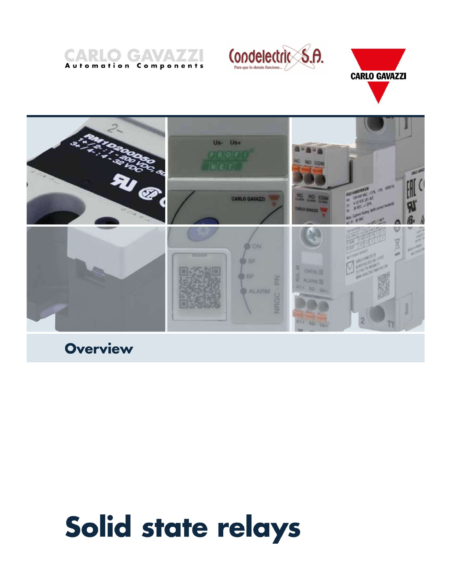







**Overview** 

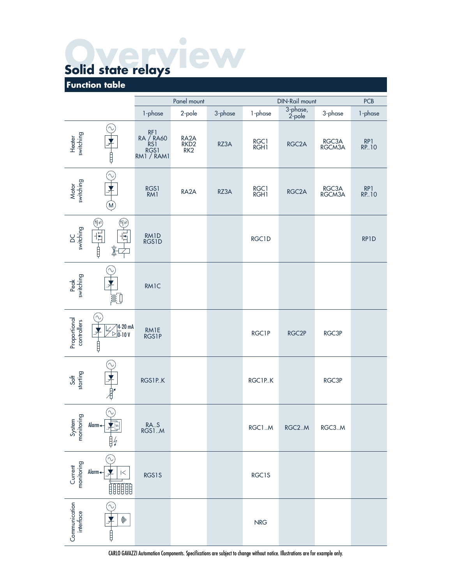|                             |                                                                                                                     |                                       | $\bigcap$           |         |              |                       |                 |             |
|-----------------------------|---------------------------------------------------------------------------------------------------------------------|---------------------------------------|---------------------|---------|--------------|-----------------------|-----------------|-------------|
|                             | Solid state relays<br><b>Function table</b>                                                                         |                                       |                     |         |              |                       |                 |             |
|                             |                                                                                                                     |                                       | Panel mount         |         |              | <b>DIN-Rail mount</b> |                 | <b>PCB</b>  |
|                             |                                                                                                                     | 1-phase                               | 2-pole              | 3-phase | 1-phase      | 3-phase,<br>2-pole    | 3-phase         | 1-phase     |
| Heater<br>switching         | ∿<br>₿                                                                                                              | RF1<br>RA / RA60<br>RS1<br>RM1 / RAM1 | RA2A<br>RKD2<br>RK2 | RZ3A    | RGC1<br>RGH1 | RGC <sub>2</sub> A    | RGC3A<br>RGCM3A | RP1<br>RP10 |
| Motor<br>switching          | $\sim$<br>才<br>(M)                                                                                                  | RGS1<br>RM1                           | RA <sub>2</sub> A   | RZ3A    | RGC1<br>RGH1 | RGC <sub>2</sub> A    | RGC3A<br>RGCM3A | RP1<br>RP10 |
| DC<br>switching             | 印<br>(HF)<br>$\frac{1}{2}$<br>$\overline{H}$<br>$\begin{array}{c} \hline \downarrow \\ \hline \uparrow \end{array}$ | RM1D<br>RGS1D                         |                     |         | RGC1D        |                       |                 | RP1D        |
| Peak<br>switching           | 兆                                                                                                                   | <b>RM1C</b>                           |                     |         |              |                       |                 |             |
| Proportional<br>controllers | $\sim$<br>$\sqrt{\frac{4}{0}}$ -10 V<br>$\boldsymbol{\lambda}$<br>Ħ                                                 | RM1E<br>RGS1P                         |                     |         | RGC1P        | RGC <sub>2</sub> P    | RGC3P           |             |
| Soft<br>starting            |                                                                                                                     | RGS1P.K                               |                     |         | RGC1P.K      |                       | RGC3P           |             |
| System<br>monitoring        | Alarm <                                                                                                             | RAS<br>RGS1M                          |                     |         | RGC1M        | RGC2.M                | RGC3.M          |             |
| Current<br>monitoring       | Alarm $\leftarrow$<br>$\lt$<br>開開開                                                                                  | RGS1S                                 |                     |         | RGC1S        |                       |                 |             |
| Communication<br>interface  | $\bigl( \bigl( \! \bigl( \! \! \! \! \! \bigr) \! \! \! \! \bigr)$<br>₿                                             |                                       |                     |         | <b>NRG</b>   |                       |                 |             |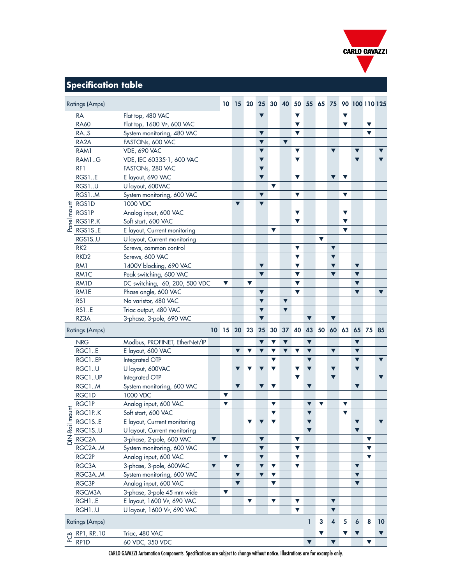

## Specification table

|                                                                            |                                |                                              |                      |                                           |                         |                                                                                    |                      |                      |                                           |                                                 |                                              |                         |                      | <b>CARLO GAVAZZI</b> |                      |                      |
|----------------------------------------------------------------------------|--------------------------------|----------------------------------------------|----------------------|-------------------------------------------|-------------------------|------------------------------------------------------------------------------------|----------------------|----------------------|-------------------------------------------|-------------------------------------------------|----------------------------------------------|-------------------------|----------------------|----------------------|----------------------|----------------------|
|                                                                            |                                |                                              |                      |                                           |                         |                                                                                    |                      |                      |                                           |                                                 |                                              |                         |                      |                      |                      |                      |
|                                                                            |                                |                                              |                      |                                           |                         |                                                                                    |                      |                      |                                           |                                                 |                                              |                         |                      |                      |                      |                      |
|                                                                            |                                |                                              |                      |                                           |                         |                                                                                    |                      |                      |                                           |                                                 |                                              |                         |                      |                      |                      |                      |
| <b>Specification table</b>                                                 |                                |                                              |                      |                                           |                         |                                                                                    |                      |                      |                                           |                                                 |                                              |                         |                      |                      |                      |                      |
| <b>Ratings (Amps)</b>                                                      |                                |                                              |                      |                                           |                         |                                                                                    |                      |                      |                                           |                                                 | 10 15 20 25 30 40 50 55 65 75 90 100 110 125 |                         |                      |                      |                      |                      |
|                                                                            |                                |                                              |                      |                                           |                         |                                                                                    |                      |                      |                                           |                                                 |                                              |                         |                      |                      |                      |                      |
| RA                                                                         | Flat top, 480 VAC              |                                              |                      |                                           |                         | $\blacktriangledown$                                                               |                      |                      | $\blacktriangledown$                      |                                                 |                                              |                         | $\blacktriangledown$ |                      |                      |                      |
| <b>RA60</b>                                                                | Flat top, 1600 VP, 600 VAC     |                                              |                      |                                           |                         |                                                                                    |                      |                      | $\blacktriangledown$                      |                                                 |                                              |                         | $\blacktriangledown$ |                      | $\blacktriangledown$ |                      |
| RA.S                                                                       | System monitoring, 480 VAC     |                                              |                      |                                           |                         | $\blacktriangledown$                                                               |                      |                      | $\blacktriangledown$                      |                                                 |                                              |                         |                      |                      | $\blacktriangledown$ |                      |
| RA <sub>2</sub> A                                                          | FASTONs, 600 VAC               |                                              |                      |                                           |                         | $\blacktriangledown$                                                               |                      | $\blacktriangledown$ |                                           |                                                 |                                              |                         |                      |                      |                      |                      |
| RAM1                                                                       | <b>VDE, 690 VAC</b>            |                                              |                      |                                           |                         | $\blacktriangledown$                                                               |                      |                      | $\blacktriangledown$                      |                                                 |                                              | $\blacktriangledown$    |                      | $\blacktriangledown$ |                      | $\blacktriangledown$ |
| RAM1.G                                                                     | VDE, IEC 60335-1, 600 VAC      |                                              |                      |                                           |                         | $\blacktriangledown$                                                               |                      |                      | $\blacktriangledown$                      |                                                 |                                              |                         |                      | $\blacktriangledown$ |                      | $\blacktriangledown$ |
| RF1                                                                        | FASTONs, 280 VAC               |                                              |                      |                                           |                         | $\blacktriangledown$                                                               |                      |                      |                                           |                                                 |                                              |                         |                      |                      |                      |                      |
| RGS1E                                                                      | E layout, 690 VAC              |                                              |                      |                                           |                         | $\blacktriangledown$                                                               |                      |                      | $\blacktriangledown$                      |                                                 |                                              | $\nabla$ $\nabla$       |                      |                      |                      |                      |
| RGS1U                                                                      | U layout, 600VAC               |                                              |                      |                                           |                         |                                                                                    | $\blacktriangledown$ |                      |                                           |                                                 |                                              |                         |                      |                      |                      |                      |
| RGS1M                                                                      | System monitoring, 600 VAC     |                                              |                      |                                           |                         | $\blacktriangledown$                                                               |                      |                      | $\blacktriangledown$                      |                                                 |                                              |                         | $\blacktriangledown$ |                      |                      |                      |
|                                                                            | 1000 VDC                       |                                              |                      | $\blacktriangledown$                      |                         | $\blacktriangledown$                                                               |                      |                      |                                           |                                                 |                                              |                         |                      |                      |                      |                      |
| $\frac{1}{8}$ $\frac{1}{\frac{1}{10} \cdot \frac{1}{100}} = \frac{1}{100}$ | Analog input, 600 VAC          |                                              |                      |                                           |                         |                                                                                    |                      |                      | $\blacktriangledown$                      |                                                 |                                              |                         | $\blacktriangledown$ |                      |                      |                      |
|                                                                            | Soft start, 600 VAC            |                                              |                      |                                           |                         |                                                                                    |                      |                      | $\blacktriangledown$                      |                                                 |                                              |                         | $\blacktriangledown$ |                      |                      |                      |
| $rac{p}{q}$ RGS1PK<br>$rac{RGS1S.E}{RGS1S.E}$                              | E layout, Current monitoring   |                                              |                      |                                           |                         |                                                                                    | $\blacktriangledown$ |                      |                                           |                                                 |                                              |                         | $\blacktriangledown$ |                      |                      |                      |
| RGS1S.U                                                                    | U layout, Current monitoring   |                                              |                      |                                           |                         |                                                                                    |                      |                      |                                           |                                                 | $\blacktriangledown$                         |                         |                      |                      |                      |                      |
| RK <sub>2</sub>                                                            | Screws, common control         |                                              |                      |                                           |                         |                                                                                    |                      |                      | $\blacktriangledown$                      |                                                 |                                              | $\blacktriangledown$    |                      |                      |                      |                      |
| RKD <sub>2</sub>                                                           | Screws, 600 VAC                |                                              |                      |                                           |                         |                                                                                    |                      |                      | $\blacktriangledown$                      |                                                 |                                              | $\blacktriangledown$    |                      |                      |                      |                      |
| RM1                                                                        | 1400V blocking, 690 VAC        |                                              |                      |                                           |                         | $\blacktriangledown$                                                               |                      |                      | $\blacktriangledown$                      |                                                 |                                              | $\blacktriangledown$    |                      | $\blacktriangledown$ |                      |                      |
| RM1C                                                                       | Peak switching, 600 VAC        |                                              |                      |                                           |                         | $\blacktriangledown$                                                               |                      |                      | $\blacktriangledown$                      |                                                 |                                              | $\blacktriangledown$    |                      | $\blacktriangledown$ |                      |                      |
| RM1D                                                                       | DC switching, 60, 200, 500 VDC |                                              | $\blacktriangledown$ |                                           | $\blacktriangledown$    |                                                                                    |                      |                      | $\blacktriangledown$                      |                                                 |                                              |                         |                      | $\blacktriangledown$ |                      |                      |
| RM1E                                                                       | Phase angle, 600 VAC           |                                              |                      |                                           |                         | $\blacktriangledown$                                                               |                      |                      | $\blacktriangledown$                      |                                                 |                                              |                         |                      | $\blacktriangledown$ |                      | $\blacktriangledown$ |
| RS1                                                                        | No varistor, 480 VAC           |                                              |                      |                                           |                         | $\blacktriangledown$                                                               |                      | $\blacktriangledown$ |                                           |                                                 |                                              |                         |                      |                      |                      |                      |
| <b>RS1E</b>                                                                | Triac output, 480 VAC          |                                              |                      |                                           |                         | $\blacktriangledown$                                                               |                      | $\blacktriangledown$ |                                           |                                                 |                                              |                         |                      |                      |                      |                      |
| RZ3A                                                                       | 3-phase, 3-pole, 690 VAC       |                                              |                      |                                           |                         | $\blacktriangledown$                                                               |                      |                      |                                           | $\blacktriangledown$                            |                                              | $\blacktriangledown$    |                      |                      |                      |                      |
|                                                                            |                                |                                              |                      |                                           |                         |                                                                                    |                      |                      |                                           |                                                 |                                              |                         |                      |                      |                      |                      |
| <b>Ratings (Amps)</b>                                                      |                                | 10 15 20 23 25 30 37 40 43 50 60 63 65 75 85 |                      |                                           |                         |                                                                                    |                      |                      |                                           |                                                 |                                              |                         |                      |                      |                      |                      |
| <b>NRG</b>                                                                 | Modbus, PROFINET, EtherNet/IP  |                                              |                      |                                           |                         |                                                                                    | $\blacktriangledown$ | $\blacktriangledown$ |                                           | $\blacktriangledown$                            |                                              |                         |                      | $\blacktriangledown$ |                      |                      |
| RGC1E                                                                      | E layout, 600 VAC              |                                              |                      | $\blacktriangledown$ $\blacktriangledown$ |                         | $\blacktriangledown$                                                               | $\blacktriangledown$ |                      | $\blacktriangledown$ $\blacktriangledown$ | $\blacktriangledown$                            |                                              | $\blacktriangledown$    |                      | $\blacktriangledown$ |                      |                      |
| RGC1EP                                                                     | Integrated OTP                 |                                              |                      |                                           |                         |                                                                                    | $\blacktriangledown$ |                      |                                           | $\blacktriangledown$                            |                                              |                         |                      | $\blacktriangledown$ |                      | $\blacktriangledown$ |
| RGC1U                                                                      | U layout, 600VAC               |                                              |                      | $\blacktriangledown$                      | $\overline{\mathbf{v}}$ | $\overline{\mathbf{v}}$ $\overline{\mathbf{v}}$                                    |                      |                      | $\blacktriangledown$                      | $\blacktriangledown$                            |                                              | $\blacktriangledown$    |                      | $\blacktriangledown$ |                      |                      |
| RGC1UP                                                                     | Integrated OTP                 |                                              |                      |                                           |                         |                                                                                    |                      |                      | $\blacktriangledown$                      |                                                 |                                              | $\blacktriangledown$    |                      |                      |                      | $\blacktriangledown$ |
| RGC1M                                                                      | System monitoring, 600 VAC     |                                              |                      | $\blacktriangledown$                      |                         | $\overline{\mathbf{v}}$ $\overline{\mathbf{v}}$                                    |                      |                      |                                           | $\blacktriangledown$                            |                                              |                         |                      | $\blacktriangledown$ |                      |                      |
| RGC1D                                                                      | 1000 VDC                       |                                              | $\blacktriangledown$ |                                           |                         |                                                                                    |                      |                      |                                           |                                                 |                                              |                         |                      |                      |                      |                      |
| RGC1P                                                                      | Analog input, 600 VAC          |                                              | $\blacktriangledown$ |                                           |                         |                                                                                    | $\blacktriangledown$ |                      |                                           | $\overline{\mathbf{v}}$ $\overline{\mathbf{v}}$ |                                              |                         | $\blacktriangledown$ |                      |                      |                      |
| RGC1PK                                                                     | Soft start, 600 VAC            |                                              |                      |                                           |                         |                                                                                    | $\blacktriangledown$ |                      |                                           | $\blacktriangledown$                            |                                              |                         | $\blacktriangledown$ |                      |                      |                      |
| RGC1S.E                                                                    | E layout, Current monitoring   |                                              |                      |                                           |                         | $\begin{array}{c c c c c} \hline \textbf{v} & \textbf{v} & \textbf{v} \end{array}$ |                      |                      |                                           | $\blacktriangledown$                            |                                              |                         |                      | $\blacktriangledown$ |                      | $\blacktriangledown$ |
| RGC1SU                                                                     | U layout, Current monitoring   |                                              |                      |                                           |                         |                                                                                    |                      |                      |                                           | $\blacktriangledown$                            |                                              |                         |                      | $\blacktriangledown$ |                      |                      |
| DIN-Rail m<br>RGC <sub>2</sub> A                                           | 3-phase, 2-pole, 600 VAC       | $\blacktriangledown$                         |                      |                                           |                         | $\blacktriangledown$                                                               |                      |                      | $\blacktriangledown$                      |                                                 |                                              |                         |                      |                      | $\blacktriangledown$ |                      |
| RGC2AM                                                                     | System monitoring, 600 VAC     |                                              |                      |                                           |                         | $\blacktriangledown$                                                               |                      |                      | $\blacktriangledown$                      |                                                 |                                              |                         |                      |                      | $\blacktriangledown$ |                      |
| RGC <sub>2P</sub>                                                          | Analog input, 600 VAC          |                                              | $\blacktriangledown$ |                                           |                         | $\blacktriangledown$                                                               |                      |                      | $\blacktriangledown$                      |                                                 |                                              |                         |                      |                      | $\blacktriangledown$ |                      |
| RGC3A                                                                      | 3-phase, 3-pole, 600VAC        | $\blacktriangledown$                         |                      | $\blacktriangledown$                      |                         | $\overline{\mathbf{v}}$ $\overline{\mathbf{v}}$                                    |                      |                      | $\blacktriangledown$                      |                                                 |                                              |                         |                      | $\blacktriangledown$ |                      |                      |
|                                                                            |                                |                                              |                      | $\blacktriangledown$                      |                         | $\overline{\mathbf{v}}$ $\overline{\mathbf{v}}$                                    |                      |                      |                                           |                                                 |                                              |                         |                      | $\blacktriangledown$ |                      |                      |
| RGC3AM                                                                     | System monitoring, 600 VAC     |                                              |                      | $\blacktriangledown$                      |                         |                                                                                    |                      |                      |                                           |                                                 |                                              |                         |                      |                      |                      |                      |
| RGC3P                                                                      | Analog input, 600 VAC          |                                              |                      |                                           |                         |                                                                                    | $\blacktriangledown$ |                      |                                           |                                                 |                                              |                         |                      | $\blacktriangledown$ |                      |                      |
| RGCM3A                                                                     | 3-phase, 3-pole 45 mm wide     |                                              | $\blacktriangledown$ |                                           |                         |                                                                                    |                      |                      |                                           |                                                 |                                              |                         |                      |                      |                      |                      |
| RGH1.E                                                                     | E layout, 1600 VP, 690 VAC     |                                              |                      |                                           | $\blacktriangledown$    |                                                                                    | $\blacktriangledown$ |                      | $\blacktriangledown$                      |                                                 |                                              | $\blacktriangledown$    |                      |                      |                      |                      |
| RGH1.U                                                                     | U layout, 1600 VP, 690 VAC     |                                              |                      |                                           |                         |                                                                                    |                      |                      | $\blacktriangledown$                      |                                                 |                                              | $\blacktriangledown$    |                      |                      |                      |                      |
| <b>Ratings (Amps)</b>                                                      |                                |                                              |                      |                                           |                         |                                                                                    |                      |                      |                                           | $\mathbf{I}$                                    | $\mathbf{3}$                                 | $\overline{\mathbf{4}}$ | $\sqrt{5}$           | $\boldsymbol{6}$     | 8                    | 10                   |
| $Q$ RP1, RP.10                                                             | Triac, 480 VAC                 |                                              |                      |                                           |                         |                                                                                    |                      |                      |                                           |                                                 | $\blacktriangledown$                         |                         | $\blacktriangledown$ | $\blacktriangledown$ |                      | $\blacktriangledown$ |
|                                                                            | 60 VDC, 350 VDC                |                                              |                      |                                           |                         |                                                                                    |                      |                      |                                           | $\blacktriangledown$                            |                                              | $\blacktriangledown$    |                      |                      | $\blacktriangledown$ |                      |
| RP1D                                                                       |                                |                                              |                      |                                           |                         |                                                                                    |                      |                      |                                           |                                                 |                                              |                         |                      |                      |                      |                      |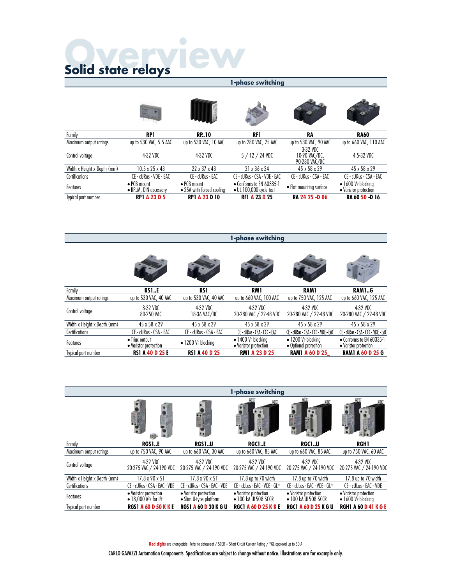1-phase switching

|                             |                                                      |                                                  | 1-phase switching                                   |                                            |                                                     |
|-----------------------------|------------------------------------------------------|--------------------------------------------------|-----------------------------------------------------|--------------------------------------------|-----------------------------------------------------|
|                             |                                                      |                                                  |                                                     |                                            |                                                     |
| Family                      | <b>RP1</b>                                           | <b>RP.10</b>                                     | RF1                                                 | RA                                         | <b>RA60</b>                                         |
| Maximum output ratings      | up to 530 VAC, 5.5 AAC                               | up to 530 VAC, 10 AAC                            | up to 280 VAC, 25 AAC                               | up to 530 VAC, 90 AAC                      | up to 660 VAC, 110 AAC                              |
| Control voltage             | 4-32 VDC                                             | 4-32 VDC                                         | $5/12/24$ VDC                                       | 3-32 VDC<br>10-90 VAC/DC,<br>90-280 VAC/DC | 4.5-32 VDC                                          |
| Width x Height x Depth (mm) | $10.5 \times 25 \times 43$                           | 22 x 37 x 43                                     | 21 x 36 x 24                                        | 45 x 58 x 29                               | 45 x 58 x 29                                        |
| Certifications              | CE - cURus - VDE - EAC                               | CE - cURus - EAC                                 | CE - cURus - CSA - VDE - EAC                        | CE - cURus - CSA - EAC                     | CE - cURus - CSA - EAC                              |
| Features                    | $\bullet$ PCB mount<br>$\bullet$ RP.M, DIN accessory | $\bullet$ PCB mount<br>• 25A with forced cooling | • Conforms to EN 60335-1<br>• UL 100,000 cycle test | • Flat mounting surface                    | $\bullet$ 1600 Ve blocking<br>• Varistor protection |
| Typical part number         | <b>RP1 A 23 D 5</b>                                  | <b>RP1 A 23 D 10</b>                             | <b>RF1 A 23 D 25</b>                                | RA 24 25 -D 06                             | RA 60 50 -D 16                                      |

Family<br>Family **RS1..E RS1 RM1 RAM1 RAM1..G**<br>Maximum output ratings up to 530 VAC, 40 AAC up to 530 VAC, 40 AAC up to 660 VAC, 100 AAC up to 750 VAC, 125 AAC<br>Control voltage 3-32 VDC 43.2 VDC 4-32 VDC 40 AAC up to 460 VAC, 1 - phase switching<br>
Maximum output ratings up to 530 VAC, 40 AAC up to 530 VAC, 40 AAC up to 660 VAC, 100 AAC up to 750 VAC, 125 AAC up to 660 VAC, 125 AAC<br>
Maximum output ratings up to 530 VAC, 40 AAC up to 530 VAC, 40 Control voltage 3-32 VDC 80-250 VAC 4-32 VDC 18-36 VAC/DC 4-32 VDC 20-280 VAC / 22-48 VDC 4-32 VDC 20-280 VAC / 22-48 VDC 4-32 VDC 20-280 VAC / 22-48 VDC **1 - phase switching**<br>
Family<br>
Maximum output ratings up to 530 VAC, 40 AAC up to 530 VAC, 40 AAC up to 660 VAC, 100 AAC up to 750 VAC, 125 AAC up to 660 VAC, 125 AAC<br>
Control voltage 332 yDC 43 x 58 x 29 45 x 58 x 29 45 Formity<br>
Formity **RS1..E** RS1<br>
Maximum output ratings up to 530 VAC, 40 AAC up to 630 VAC, 40 AAC up to 660 VAC, 100 AAC up to 75<br>
Control voltage 3-32 VDC 4-32 VDC 4-32 VDC 4-32 VDC<br>
Width x Height x Depth (mm) 45 x 58 x Features • Triac output • Varistor protection • 1200 VP blocking • 1400 VP blocking • Varistor protection • 1200 VP blocking • Optional protection • Conforms to EN 60335-1 • Conforms to EN 60335-1<br>• Varistor protection<br>**RAM1 A 60 D 25 G** Family<br>
Family RS1..E<br>
Moximum output ratings<br>
Whorkinum output ratings<br>
Control voltage<br>  $\frac{3320 \text{ V/C}}{3250 \text{ V/C}}$ <br>
Control voltage<br>
With x Height x Bepth (mm)<br>  $\frac{432 \text{ V/C}}{600 \text{ V/C}}$ <br>
A 2010 Ve blocking<br>
Control and

|                             | 1 <i>L</i> J D H H J L                                                  | 531 A 40 D ZJ                                   | MMI A ZJ V ZJ                                        | <b>INAMIA OU U LJ</b>                                | MAINI A OV V 4J V                                   |
|-----------------------------|-------------------------------------------------------------------------|-------------------------------------------------|------------------------------------------------------|------------------------------------------------------|-----------------------------------------------------|
|                             |                                                                         |                                                 |                                                      |                                                      |                                                     |
|                             |                                                                         |                                                 | 1-phase switching                                    |                                                      |                                                     |
|                             |                                                                         |                                                 |                                                      |                                                      |                                                     |
| Family                      | <b>RGS1E</b>                                                            | <b>RGS1U</b>                                    | <b>RGC1E</b>                                         | <b>RGC1U</b>                                         | <b>RGH1</b>                                         |
| Maximum output ratings      | up to 750 VAC, 90 AAC                                                   | up to 660 VAC, 30 AAC                           | up to 660 VAC, 85 AAC                                | up to 660 VAC, 85 AAC                                | up to 750 VAC, 60 AAC                               |
| Control voltage             | 4-32 VDC<br>20-275 VAC / 24-190 VDC                                     | 4-32 VDC<br>20-275 VAC / 24-190 VDC             | 4-32 VDC<br>20-275 VAC / 24-190 VDC                  | 4-32 VDC<br>20-275 VAC / 24-190 VDC                  | 4-32 VDC<br>20-275 VAC / 24-190 VDC                 |
| Width x Height x Depth (mm) | $17.8 \times 90 \times 51$                                              | $17.8 \times 90 \times 51$                      | 17.8 up to 70 width                                  | 17.8 up to 70 width                                  | 17.8 up to 70 width                                 |
| Certifications              | CE - cURus - CSA - EAC - VDE                                            | CE - cURus - CSA - EAC - VDE                    | CE - cULus - EAC - VDE - GL*                         | CE - cULus - EAC - VDE - GL*                         | CE - cULus - EAC - VDE                              |
| Features                    | • Varistor protection<br>• 18,000 A <sup>2</sup> s for I <sup>2</sup> t | • Varistor protection<br>• Slim U-type platform | • Varistor protection<br>$\bullet$ 100 kA UL508 SCCR | • Varistor protection<br>$\bullet$ 100 kA UL508 SCCR | • Varistor protection<br>$\bullet$ 1600 VP blocking |
|                             | <b>RGS1 A 60 D 50 K K E</b>                                             | <b>RGS1 A 60 D 30 K G U</b>                     | <b>RGC1 A 60 D 25 K K E</b>                          | <b>RGC1 A 60 D 25 K G U</b>                          | <b>RGH1 A 60 D 41 K G E</b>                         |

Red digits are changeable. Refer to dataseeet / SCCR = Short Circuit Current Rating / \*GL approval up to 30 A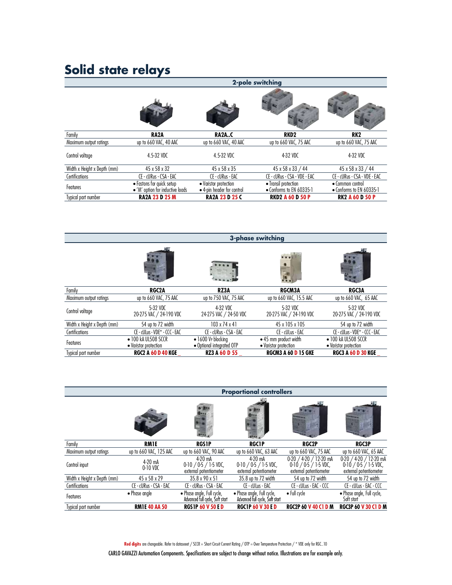|                             |                                                               |                                                     | 2-pole switching                                 |                                              |
|-----------------------------|---------------------------------------------------------------|-----------------------------------------------------|--------------------------------------------------|----------------------------------------------|
|                             |                                                               |                                                     |                                                  |                                              |
| Family                      | RA <sub>2</sub> A                                             | <b>RA2AC</b>                                        | RKD <sub>2</sub>                                 | RK <sub>2</sub>                              |
| Maximum output ratings      | up to 660 VAC, 40 AAC                                         | up to 660 VAC, 40 AAC                               | up to 660 VAC, 75 AAC                            | up to 660 VAC, 75 AAC                        |
| Control voltage             | 4.5-32 VDC                                                    | 4.5-32 VDC                                          | 4-32 VDC                                         | 4-32 VDC                                     |
| Width x Height x Depth (mm) | 45 x 58 x 32                                                  | 45 x 58 x 35                                        | 45 x 58 x 33 / 44                                | 45 x 58 x 33 / 44                            |
| Certifications              | CE - cURus - CSA - EAC                                        | CE - cURus - EAC                                    | CE - cURus - CSA - VDE - EAC                     | CE - cURus - CSA - VDE - EAC                 |
| Features                    | • Fastons for quick setup<br>• 'M' option for inductive loads | • Varistor protection<br>• 4-pin header for control | • Transil protection<br>• Conforms to EN 60335-1 | • Common control<br>• Conforms to EN 60335-1 |
| Typical part number         | <b>RA2A 23 D 25 M</b>                                         | <b>RA2A 23 D 25 C</b>                               | <b>RKD2 A 60 D 50 P</b>                          | <b>RK2 A 60 D 50 P</b>                       |

|                             |                                              |                                                 | <b>3-phase switching</b>                       |                                              |
|-----------------------------|----------------------------------------------|-------------------------------------------------|------------------------------------------------|----------------------------------------------|
|                             |                                              |                                                 |                                                |                                              |
| Family                      | <b>RGC2A</b>                                 | RZ3A                                            | <b>RGCM3A</b>                                  | <b>RGC3A</b>                                 |
| Maximum output ratings      | up to 660 VAC, 75 AAC                        | up to 750 VAC, 75 AAC                           | up to 660 VAC, 15.5 AAC                        | up to 660 VAC, 65 AAC                        |
| Control voltage             | 5-32 VDC<br>20-275 VAC / 24-190 VDC          | 4-32 VDC<br>24-275 VAC / 24-50 VDC              | 5-32 VDC<br>20-275 VAC / 24-190 VDC            | 5-32 VDC<br>20-275 VAC / 24-190 VDC          |
| Width x Height x Depth (mm) | 54 up to 72 width                            | $103 \times 74 \times 41$                       | 45 x 105 x 105                                 | 54 up to 72 width                            |
| Certifications              | CE - cULus - VDE* - CCC - EAC                | CE - cURus - CSA - EAC                          | CE - cULus - EAC                               | CE - cULus - VDE* - CCC - EAC                |
| Features                    | • 100 kA UL508 SCCR<br>• Varistor protection | • 1600 VP blocking<br>· Optional integrated OTP | • 45 mm product width<br>• Varistor protection | • 100 kA UL508 SCCR<br>• Varistor protection |
| Typical part number         | <b>RGC2 A 60 D 40 KGE</b>                    | <b>RZ3 A 60 D 55</b>                            | <b>RGCM3 A 60 D 15 GKE</b>                     | <b>RGC3 A 60 D 30 KGE</b>                    |

| Typical part homes          | NUCZ A OV D 40 NUC      | KY Y Y ON N ? Y                                                |                                                               | NUCINO A OU D I J UNE                                                   | NULJ A OV D JV NUE                                                      |
|-----------------------------|-------------------------|----------------------------------------------------------------|---------------------------------------------------------------|-------------------------------------------------------------------------|-------------------------------------------------------------------------|
|                             |                         |                                                                |                                                               |                                                                         |                                                                         |
|                             |                         |                                                                | <b>Proportional controllers</b>                               |                                                                         |                                                                         |
|                             |                         |                                                                |                                                               |                                                                         |                                                                         |
| Family                      | <b>RM1E</b>             | <b>RGS1P</b>                                                   | <b>RGC1P</b>                                                  | <b>RGC2P</b>                                                            | <b>RGC3P</b>                                                            |
| Maximum output ratings      | up to 660 VAC, 125 AAC  | up to 660 VAC, 90 AAC                                          | up to 660 VAC, 63 AAC                                         | up to 660 VAC, 75 AAC                                                   | up to 660 VAC, 65 AAC                                                   |
| Control input               | $4-20$ mA<br>$0-10$ VDC | $4-20$ mA<br>$0.10 / 0.5 / 1.5$ VDC,<br>external potentiometer | $4-20$ mA<br>$0-10/0.5/1.5$ VDC,<br>external potentiometer    | 0-20 / 4-20 / 12-20 mA<br>$0-10/0-5/1-5$ VDC,<br>external potentiometer | 0-20 / 4-20 / 12-20 mA<br>$0-10/0.5/1.5$ VDC,<br>external potentiometer |
| Width x Height x Depth (mm) | 45 x 58 x 29            | 35.8 x 90 x 51                                                 | 35.8 up to 72 width                                           | 54 up to 72 width                                                       | 54 up to 72 width                                                       |
| Certifications              | CE - cURus - CSA - EAC  | CE - cURus - CSA - EAC                                         | CE - cULus - EAC                                              | CE - cULus - EAC - CCC                                                  | CE - cULus - EAC - CCC                                                  |
| Features                    | $\bullet$ Phase angle   | • Phase angle, Full cycle,<br>Advanced full cycle, Soft start  | • Phase angle, Full cycle,<br>Advanced full cycle, Soft start | $\bullet$ Full cycle                                                    | · Phase angle, Full cycle,<br>Soft start                                |
| Typical part number         | <b>RM1E 40 AA 50</b>    | <b>RGS1P 60 V 50 F D</b>                                       | <b>RGC1P 60 V 30 F D</b>                                      | <b>RGC2P 60 V 40 C1 D M</b>                                             | <b>RGC3P 60 V 30 C1 D M</b>                                             |

Red digits are changeable. Refer to dataseeet / SCCR = Short Circuit Current Rating / OTP = Over Temperature Protection / \* VDE only for RGC..10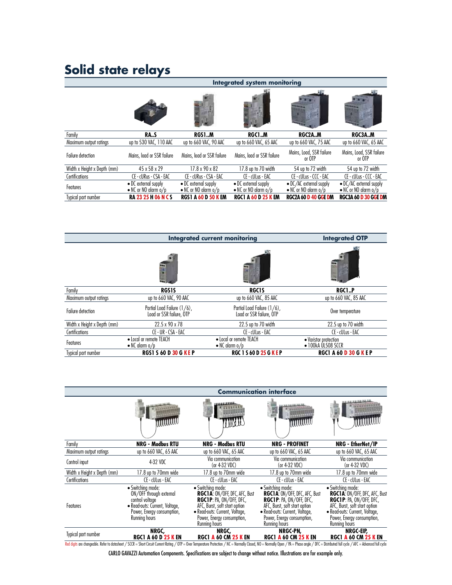|                             |                                                |                                                      | <b>Integrated system monitoring</b>                  |                                                   |                                                   |
|-----------------------------|------------------------------------------------|------------------------------------------------------|------------------------------------------------------|---------------------------------------------------|---------------------------------------------------|
|                             |                                                |                                                      |                                                      |                                                   |                                                   |
| Family                      | <b>RAS</b>                                     | <b>RGS1M</b>                                         | RGC1.M                                               | RGC2AM                                            | RGC3AM                                            |
| Maximum output ratings      | up to 530 VAC, 110 AAC                         | up to 660 VAC, 90 AAC                                | up to 660 VAC, 65 AAC                                | up to 660 VAC, 75 AAC                             | up to 660 VAC, 65 AAC                             |
| <b>Failure detection</b>    | Mains, load or SSR failure                     | Mains, load or SSR failure                           | Mains, load or SSR failure                           | Mains, Load, SSR failure<br>or OTP                | Mains, Load, SSR failure<br>or OTP                |
| Width x Height x Depth (mm) | 45 x 58 x 29                                   | 17.8 x 90 x 82                                       | 17.8 up to 70 width                                  | 54 up to 72 width                                 | 54 up to 72 width                                 |
| Certifications              | CE - cURus - CSA - EAC                         | CE - cURus - CSA - EAC                               | CE - cULus - EAC                                     | CE - cULus - CCC - EAC                            | CE - cULus - CCC - EAC                            |
| Features                    | • DC external supply<br>• NC or NO alarm $o/p$ | • DC external supply<br>$\bullet$ NC or NO alarm o/p | • DC external supply<br>$\bullet$ NC or NO alarm o/p | • DC/AC external supply<br>• NC or NO alarm $o/p$ | • DC/AC external supply<br>• NC or NO alarm $o/p$ |
| Typical part number         | <b>RA 23 25 H 06 N C S</b>                     | <b>RGS1 A 60 D 50 K EM</b>                           | <b>RGC1 A 60 D 25 K EM</b>                           | <b>RGC2A 60 D 40 GGE DM</b>                       | <b>RGC3A 60 D 30 GGE DM</b>                       |
|                             |                                                | <b>Integrated current monitoring</b>                 |                                                      |                                                   | <b>Integrated OTP</b>                             |
|                             |                                                |                                                      |                                                      |                                                   |                                                   |

| <b>Integrated current monitoring</b><br><b>Integrated OTP</b>                                                                                                       |
|---------------------------------------------------------------------------------------------------------------------------------------------------------------------|
|                                                                                                                                                                     |
|                                                                                                                                                                     |
| 園<br>ш                                                                                                                                                              |
| Family<br><b>RGS1S</b><br><b>RGC1S</b><br><b>RGC1P</b>                                                                                                              |
| up to 660 VAC, 90 AAC<br>up to 660 VAC, 85 AAC<br>up to 660 VAC, 85 AAC<br>Maximum output ratings                                                                   |
| Partial Load Failure (1/6),<br>Partial Load Failure (1/6),<br><b>Failure detection</b><br>Over temperature<br>Load or SSR failure, OTP<br>Load or SSR failure, OTP  |
| Width x Height x Depth (mm)<br>22.5 x 90 x 78<br>22.5 up to 70 width<br>22.5 up to 70 width                                                                         |
| Certifications<br>CE - UR - CSA - EAC<br>CE - cULus - EAC<br>CE - cULus - EAC                                                                                       |
| • Local or remote TEACH<br>• Local or remote TEACH<br>• Varistor protection<br>Features<br>$\bullet$ 100kA ÚL508 SCCR<br>$\bullet$ NC alarm o/p<br>• NC alarm $o/p$ |
| <b>RGS1 S 60 D 30 G KEP</b><br><b>RGC 1 S 60 D 25 G KEP</b><br><b>RGC1 A 60 D 30 G K E P</b><br>Typical part number                                                 |

| TYPICUI PUIT HUIHDEI        | ח איטיש טיט כוכט א                                                                                                                                                                                                             | NUL I JOV V 4J V N E F                                                                                                                                                                                        |                                                                                                                                                                                                               | NUL I A OV <b>d</b> JV V N I F                                                                                                                                                                                |
|-----------------------------|--------------------------------------------------------------------------------------------------------------------------------------------------------------------------------------------------------------------------------|---------------------------------------------------------------------------------------------------------------------------------------------------------------------------------------------------------------|---------------------------------------------------------------------------------------------------------------------------------------------------------------------------------------------------------------|---------------------------------------------------------------------------------------------------------------------------------------------------------------------------------------------------------------|
|                             |                                                                                                                                                                                                                                |                                                                                                                                                                                                               | <b>Communication interface</b>                                                                                                                                                                                |                                                                                                                                                                                                               |
|                             |                                                                                                                                                                                                                                |                                                                                                                                                                                                               |                                                                                                                                                                                                               | コロコ 日本製造業長                                                                                                                                                                                                    |
|                             | <b>MMMMM</b>                                                                                                                                                                                                                   | MAU                                                                                                                                                                                                           | A NA HA SEARAS<br><b>UUUUUUU</b>                                                                                                                                                                              |                                                                                                                                                                                                               |
| Family                      | <b>NRG - Modbus RTU</b>                                                                                                                                                                                                        | <b>NRG - Modbus RTU</b>                                                                                                                                                                                       | <b>NRG - PROFINET</b>                                                                                                                                                                                         | NRG - EtherNet/IP                                                                                                                                                                                             |
| Maximum output ratings      | up to 660 VAC, 65 AAC                                                                                                                                                                                                          | up to 660 VAC, 65 AAC                                                                                                                                                                                         | up to 660 VAC, 65 AAC                                                                                                                                                                                         | up to 660 VAC, 65 AAC                                                                                                                                                                                         |
| Control input               | 4-32 VDC                                                                                                                                                                                                                       | Via communication<br>(or $4-32$ VDC)                                                                                                                                                                          | Via communication<br>(or $4-32$ VDC)                                                                                                                                                                          | Via communication<br>(or $4-32$ VDC)                                                                                                                                                                          |
| Width x Height x Depth (mm) | 17.8 up to 70mm wide                                                                                                                                                                                                           | 17.8 up to 70mm wide                                                                                                                                                                                          | 17.8 up to 70mm wide                                                                                                                                                                                          | 17.8 up to 70mm wide                                                                                                                                                                                          |
| Certifications              | CE - cULus - EAC                                                                                                                                                                                                               | CE - cULus - EAC                                                                                                                                                                                              | CE - cULus - EAC                                                                                                                                                                                              | CE - cULus - EAC                                                                                                                                                                                              |
| Features                    | · Switching mode:<br>ON/OFF through external<br>control voltage<br>· Read-outs: Current, Voltage,<br>Power, Energy consumption,<br><b>Running hours</b>                                                                        | • Switching mode:<br><b>RGC1A: ON/OFF, DFC, AFC, Bust</b><br><b>RGC1P: PA, ON/OFF, DFC,</b><br>AFC, Burst, soft start option<br>• Read-outs: Current, Voltage,<br>Power, Energy consumption,<br>Running hours | • Switching mode:<br><b>RGC1A: ON/OFF, DFC, AFC, Bust</b><br><b>RGC1P: PA, ON/OFF, DFC,</b><br>AFC, Burst, soft start option<br>• Read-outs: Current, Voltage,<br>Power, Energy consumption,<br>Running hours | · Switching mode:<br><b>RGC1A: ON/OFF, DFC, AFC, Bust</b><br><b>RGC1P: PA, ON/OFF, DFC,</b><br>AFC, Burst, soft start option<br>• Read-outs: Current, Voltage,<br>Power, Energy consumption,<br>Running hours |
| Typical part number         | NRGC,<br><b>RGC1 A 60 D 25 K EN</b>                                                                                                                                                                                            | NRGC,<br><b>RGC1 A 60 CM 25 K EN</b>                                                                                                                                                                          | NRGC-PN,<br><b>RGC1 A 60 CM 25 K EN</b>                                                                                                                                                                       | NRGC-EIP,<br><b>RGC1 A 60 CM 25 K EN</b>                                                                                                                                                                      |
|                             | Red digits are changeable. Refer to datasheet / SCCR = Short Circuit Current Rating / OTP = Over Temperature Protection / NC = Normally Closed, NO = Normally Open / PA = Phase angle / DFC = Distributed full cycle / AFC = A |                                                                                                                                                                                                               |                                                                                                                                                                                                               |                                                                                                                                                                                                               |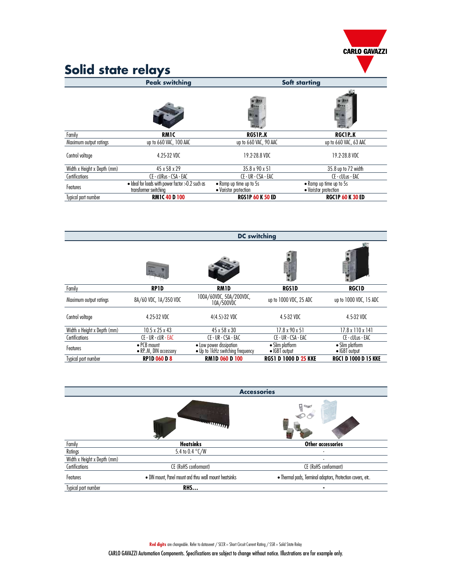

| Solid state relays          |                                                                                     |                                                  |                                                  |
|-----------------------------|-------------------------------------------------------------------------------------|--------------------------------------------------|--------------------------------------------------|
|                             | <b>Peak switching</b>                                                               |                                                  | <b>Soft starting</b>                             |
|                             |                                                                                     |                                                  |                                                  |
| Family                      | <b>RM1C</b>                                                                         | RGS1PK                                           | RGC1P.K                                          |
| Maximum output ratings      | up to 660 VAC, 100 AAC                                                              | up to 660 VAC, 90 AAC                            | up to 660 VAC, 63 AAC                            |
| Control voltage             | 4.25-32 VDC                                                                         | 19.2-28.8 VDC                                    | 19.2-28.8 VDC                                    |
| Width x Height x Depth (mm) | 45 x 58 x 29                                                                        | 35.8 x 90 x 51                                   | 35.8 up to 72 width                              |
| Certifications              | CE - cURus - CSA - EAC                                                              | CE - UR - CSA - EAC                              | CE - cULus - EAC                                 |
| Features                    | $\bullet$ Ideal for loads with power factor $>0.2$ such as<br>transformer switching | • Ramp up time up to 5s<br>• Varistor protection | • Ramp up time up to 5s<br>• Varistor protection |
| Typical part number         | <b>RM1C 40 D 100</b>                                                                | <b>RGS1P 60 K 50 ED</b>                          | <b>RGC1P 60 K 30 ED</b>                          |

| iypicui puti tiutitibel     | <b>MILL TO LIVE</b>                         | עם טכח <mark>טט זו</mark> כטח                               |                                          | <b>NULLE OU N JU ED</b>          |
|-----------------------------|---------------------------------------------|-------------------------------------------------------------|------------------------------------------|----------------------------------|
|                             |                                             | <b>DC</b> switching                                         |                                          |                                  |
|                             |                                             |                                                             |                                          |                                  |
| Family                      | <b>RP1D</b>                                 | <b>RM1D</b>                                                 | <b>RGS1D</b>                             | <b>RGC1D</b>                     |
| Maximum output ratings      | 8A/60 VDC, 1A/350 VDC                       | 100A/60VDC, 50A/200VDC,<br>10A/500VDC                       | up to 1000 VDC, 25 ADC                   | up to 1000 VDC, 15 ADC           |
| Control voltage             | 4.25-32 VDC                                 | $4(4.5) - 32$ VDC                                           | 4.5-32 VDC                               | 4.5-32 VDC                       |
| Width x Height x Depth (mm) | $10.5 \times 25 \times 43$                  | 45 x 58 x 30                                                | $17.8 \times 90 \times 51$               | $17.8 \times 110 \times 141$     |
| Certifications              | CE - UR - cUR - EAC                         | CE - UR - CSA - EAC                                         | CE - UR - CSA - EAC                      | CE - cULus - EAC                 |
| Features                    | $\bullet$ PCB mount<br>• RPM, DIN accessory | • Low power dissipation<br>. Up to 1kHz switching frequency | • Slim platform<br>$\bullet$ IGBT output | • Slim platform<br>· IGBT output |
| Typical part number         | <b>RP1D 060 D 8</b>                         | <b>RM1D 060 D 100</b>                                       | <b>RGS1 D 1000 D 25 KKE</b>              | <b>RGC1 D 1000 D 15 KKE</b>      |

| Typical part number         | <b>RP1D 060 D 8</b>                                    | <b>RM1D 060 D 100</b> | <b>RGS1 D 1000 D 25 KKE</b>                                | <b>RGC1 D 1000 D 15 KKE</b> |
|-----------------------------|--------------------------------------------------------|-----------------------|------------------------------------------------------------|-----------------------------|
|                             |                                                        |                       |                                                            |                             |
|                             |                                                        | <b>Accessories</b>    |                                                            |                             |
|                             |                                                        | <u>Allililius</u>     | <b>Class</b>                                               |                             |
| Family                      | <b>Heatsinks</b>                                       |                       | Other accessories                                          |                             |
| Ratings                     | 5.4 to 0.4 °C/W                                        |                       |                                                            |                             |
| Width x Height x Depth (mm) |                                                        |                       |                                                            |                             |
| Certifications              | CE (RoHS conformant)                                   |                       | CE (RoHS conformant)                                       |                             |
| Features                    | . DIN mount, Panel mount and thru wall mount heatsinks |                       | · Thermal pads, Terminal adaptors, Protection covers, etc. |                             |
| Typical part number         | <b>RHS</b>                                             |                       | ٠                                                          |                             |

Red digits are changeable. Refer to dataseeet / SCCR = Short Circuit Current Rating / SSR = Solid State Relay